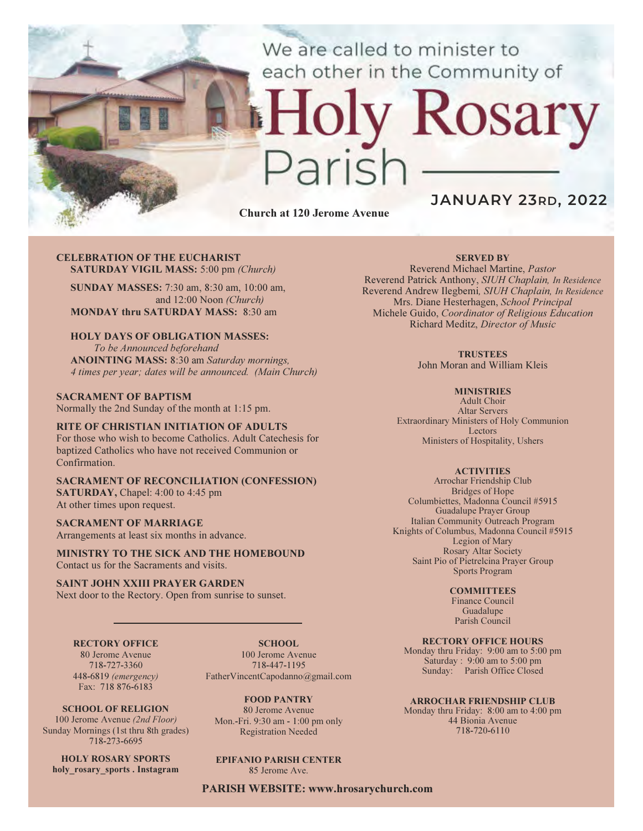We are called to minister to each other in the Community of

# y Rosary aris

Church at 120 Jerome Avenue

## JANUARY 23RD, 2022

#### CELEBRATION OF THE EUCHARIST SATURDAY VIGIL MASS: 5:00 pm (Church)

SUNDAY MASSES: 7:30 am, 8:30 am, 10:00 am, and 12:00 Noon (Church) MONDAY thru SATURDAY MASS: 8:30 am

## HOLY DAYS OF OBLIGATION MASSES:

To be Announced beforehand ANOINTING MASS: 8:30 am Saturday mornings, 4 times per year; dates will be announced. (Main Church)

#### SACRAMENT OF BAPTISM Normally the 2nd Sunday of the month at 1:15 pm.

#### RITE OF CHRISTIAN INITIATION OF ADULTS For those who wish to become Catholics. Adult Catechesis for

baptized Catholics who have not received Communion or Confirmation.

#### SACRAMENT OF RECONCILIATION (CONFESSION) SATURDAY, Chapel: 4:00 to 4:45 pm At other times upon request.

## SACRAMENT OF MARRIAGE

Arrangements at least six months in advance.

MINISTRY TO THE SICK AND THE HOMEBOUND Contact us for the Sacraments and visits.

#### SAINT JOHN XXIII PRAYER GARDEN

Next door to the Rectory. Open from sunrise to sunset.

#### RECTORY OFFICE

80 Jerome Avenue 718-727-3360 448-6819 (emergency) Fax: 718 876-6183

SCHOOL. 100 Jerome Avenue 718-447-1195 FatherVincentCapodanno@gmail.com

SCHOOL OF RELIGION 100 Jerome Avenue (2nd Floor) Sunday Mornings (1st thru 8th grades) 718-273-6695

HOLY ROSARY SPORTS holy rosary sports . Instagram FOOD PANTRY

80 Jerome Avenue Mon.-Fri. 9:30 am - 1:00 pm only Registration Needed

## EPIFANIO PARISH CENTER

85 Jerome Ave.

PARISH WEBSITE: www.hrosarychurch.com

#### SERVED BY

Reverend Michael Martine, Pastor Reverend Patrick Anthony, SIUH Chaplain, In Residence Reverend Andrew Ilegbemi, SIUH Chaplain, In Residence Mrs. Diane Hesterhagen, School Principal Michele Guido, Coordinator of Religious Education Richard Meditz, Director of Music

#### **TRUSTEES**

John Moran and William Kleis

#### **MINISTRIES**

Adult Choir Altar Servers Extraordinary Ministers of Holy Communion Lectors Ministers of Hospitality, Ushers

#### **ACTIVITIES**

Arrochar Friendship Club Bridges of Hope Columbiettes, Madonna Council #5915 Guadalupe Prayer Group Italian Community Outreach Program Knights of Columbus, Madonna Council #5915 Legion of Mary Rosary Altar Society Saint Pio of Pietrelcina Prayer Group Sports Program

#### **COMMITTEES**

Finance Council Guadalupe Parish Council

#### RECTORY OFFICE HOURS

Monday thru Friday: 9:00 am to 5:00 pm Saturday : 9:00 am to 5:00 pm Sunday: Parish Office Closed

#### ARROCHAR FRIENDSHIP CLUB

Monday thru Friday: 8:00 am to 4:00 pm 44 Bionia Avenue 718-720-6110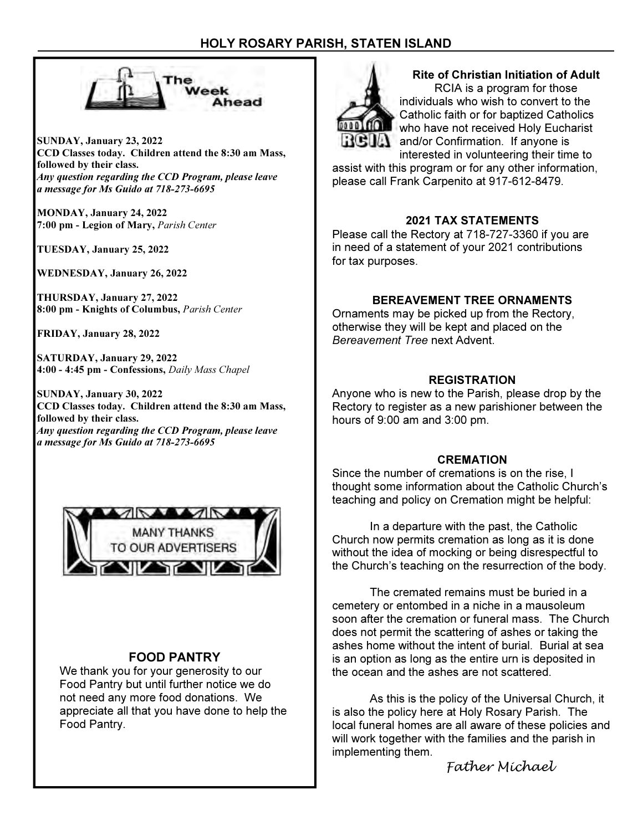## HOLY ROSARY PARISH, STATEN ISLAND



SUNDAY, January 23, 2022 CCD Classes today. Children attend the 8:30 am Mass, followed by their class. Any question regarding the CCD Program, please leave a message for Ms Guido at 718-273-6695

MONDAY, January 24, 2022 7:00 pm - Legion of Mary, Parish Center

TUESDAY, January 25, 2022

WEDNESDAY, January 26, 2022

THURSDAY, January 27, 2022 8:00 pm - Knights of Columbus, Parish Center

FRIDAY, January 28, 2022

SATURDAY, January 29, 2022 4:00 - 4:45 pm - Confessions, Daily Mass Chapel

SUNDAY, January 30, 2022 CCD Classes today. Children attend the 8:30 am Mass, followed by their class. Any question regarding the CCD Program, please leave a message for Ms Guido at 718-273-6695



## FOOD PANTRY

We thank you for your generosity to our Food Pantry but until further notice we do not need any more food donations. We appreciate all that you have done to help the Food Pantry.



#### Rite of Christian Initiation of Adult RCIA is a program for those

individuals who wish to convert to the Catholic faith or for baptized Catholics who have not received Holy Eucharist **A** and/or Confirmation. If anyone is interested in volunteering their time to

assist with this program or for any other information, please call Frank Carpenito at 917-612-8479.

## 2021 TAX STATEMENTS

Please call the Rectory at 718-727-3360 if you are in need of a statement of your 2021 contributions for tax purposes.

## BEREAVEMENT TREE ORNAMENTS

Ornaments may be picked up from the Rectory, otherwise they will be kept and placed on the Bereavement Tree next Advent.

## REGISTRATION

Anyone who is new to the Parish, please drop by the Rectory to register as a new parishioner between the hours of 9:00 am and 3:00 pm.

#### **CREMATION**

Since the number of cremations is on the rise, I thought some information about the Catholic Church's teaching and policy on Cremation might be helpful:

 In a departure with the past, the Catholic Church now permits cremation as long as it is done without the idea of mocking or being disrespectful to the Church's teaching on the resurrection of the body.

 The cremated remains must be buried in a cemetery or entombed in a niche in a mausoleum soon after the cremation or funeral mass. The Church does not permit the scattering of ashes or taking the ashes home without the intent of burial. Burial at sea is an option as long as the entire urn is deposited in the ocean and the ashes are not scattered.

 As this is the policy of the Universal Church, it is also the policy here at Holy Rosary Parish. The local funeral homes are all aware of these policies and will work together with the families and the parish in implementing them.

Father Michael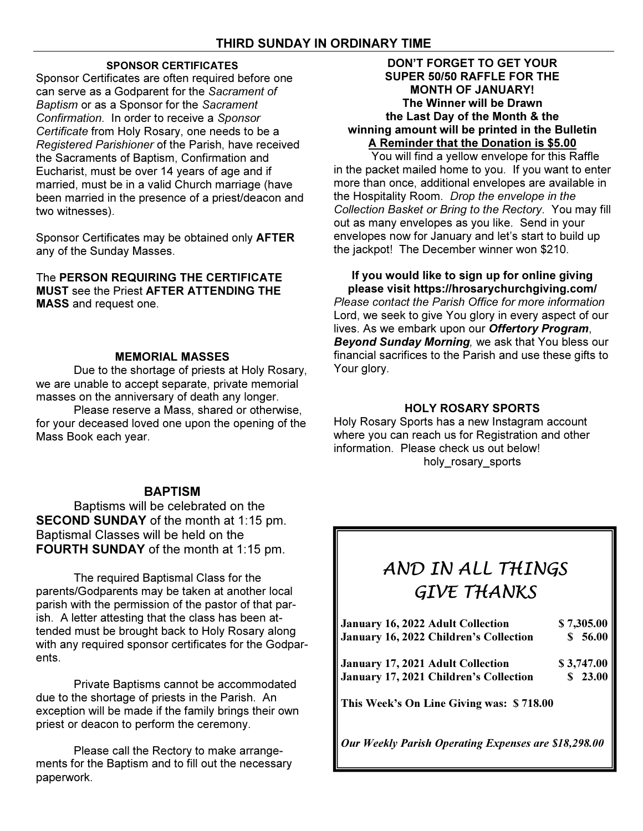## SPONSOR CERTIFICATES

Sponsor Certificates are often required before one can serve as a Godparent for the Sacrament of Baptism or as a Sponsor for the Sacrament Confirmation. In order to receive a Sponsor Certificate from Holy Rosary, one needs to be a Registered Parishioner of the Parish, have received the Sacraments of Baptism, Confirmation and Eucharist, must be over 14 years of age and if married, must be in a valid Church marriage (have been married in the presence of a priest/deacon and two witnesses).

Sponsor Certificates may be obtained only AFTER any of the Sunday Masses.

The PERSON REQUIRING THE CERTIFICATE MUST see the Priest AFTER ATTENDING THE MASS and request one.

## MEMORIAL MASSES

 Due to the shortage of priests at Holy Rosary, we are unable to accept separate, private memorial masses on the anniversary of death any longer.

 Please reserve a Mass, shared or otherwise, for your deceased loved one upon the opening of the Mass Book each year.

## **BAPTISM**

Baptisms will be celebrated on the SECOND SUNDAY of the month at 1:15 pm. Baptismal Classes will be held on the FOURTH SUNDAY of the month at 1:15 pm.

The required Baptismal Class for the parents/Godparents may be taken at another local parish with the permission of the pastor of that parish. A letter attesting that the class has been attended must be brought back to Holy Rosary along with any required sponsor certificates for the Godparents.

 Private Baptisms cannot be accommodated due to the shortage of priests in the Parish. An exception will be made if the family brings their own priest or deacon to perform the ceremony.

 Please call the Rectory to make arrangements for the Baptism and to fill out the necessary paperwork.

## DON'T FORGET TO GET YOUR SUPER 50/50 RAFFLE FOR THE MONTH OF JANUARY! The Winner will be Drawn the Last Day of the Month & the winning amount will be printed in the Bulletin A Reminder that the Donation is \$5.00

 You will find a yellow envelope for this Raffle in the packet mailed home to you. If you want to enter more than once, additional envelopes are available in the Hospitality Room. Drop the envelope in the Collection Basket or Bring to the Rectory. You may fill out as many envelopes as you like. Send in your envelopes now for January and let's start to build up the jackpot! The December winner won \$210.

## If you would like to sign up for online giving please visit https://hrosarychurchgiving.com/

Please contact the Parish Office for more information Lord, we seek to give You glory in every aspect of our lives. As we embark upon our Offertory Program, Beyond Sunday Morning, we ask that You bless our financial sacrifices to the Parish and use these gifts to Your glory.

## HOLY ROSARY SPORTS

Holy Rosary Sports has a new Instagram account where you can reach us for Registration and other information. Please check us out below! holy\_rosary\_sports

## AND IN ALL THINGS GIVE THANKS

| January 16, 2022 Adult Collection<br>January 16, 2022 Children's Collection | \$7,305.00<br>\$56.00 |
|-----------------------------------------------------------------------------|-----------------------|
| <b>January 17, 2021 Adult Collection</b>                                    | \$3,747.00            |
| January 17, 2021 Children's Collection                                      | \$23.00               |
| This Week's On Line Giving was: \$718.00                                    |                       |
| Our Weekly Parish Operating Expenses are \$18,298.00                        |                       |